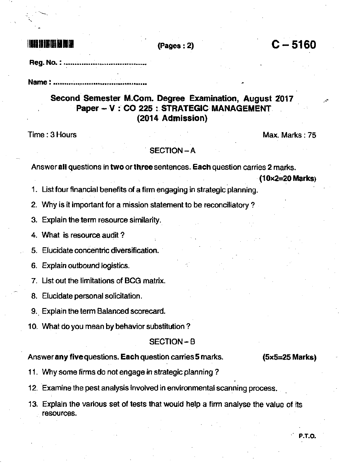# **rminmtlich in Antigen Ein**

 $(Pages : 2)$   $C - 5160$ 

Reg. No. : ......

Name : ........................

## Second Semester M.Com. Degree Examination, August 2017 Paper - V : CO 225 : STRATEGIC MANAGEMENT (2014 Admission)

Time : 3 Hours Max. Marks : 75

### SECTION-A

Answer all questions in two or three sentences. Each question carries 2 marks.

 $(10x2=20$  Marks

1. List four financial benefits of a firm engaging in strategic planning.

2. Why is it important for a mission statement to be reconciliatory ?

3. Explain the term resource similarity.

4. What is resource audit ?

5. Elucidate concentric diversification.

6. Explain outbound logistics.

7. List out the limitations of BCG matrix.

8. Elucidate personal solicitation.

9.. Explain the term Balanced scorecard.

10. What do you mean by behavior substitution?

#### SECTION-B

Answer any five questions. Each question carries 5 marks. (5x5=25 Marks)

<sup>1</sup>1. Why some firms do not engage in strategic planning ?

12. Examine the pest analysis involved in environmental scanning process.

13. Explain the various set of tests that would help a firm analyse the value of its resources.